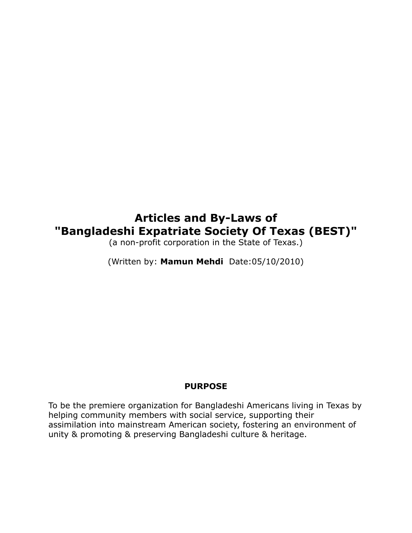# **Articles and By-Laws of "Bangladeshi Expatriate Society Of Texas (BEST)"**

(a non-profit corporation in the State of Texas.)

(Written by: **Mamun Mehdi** Date:05/10/2010)

### **PURPOSE**

To be the premiere organization for Bangladeshi Americans living in Texas by helping community members with social service, supporting their assimilation into mainstream American society, fostering an environment of unity & promoting & preserving Bangladeshi culture & heritage.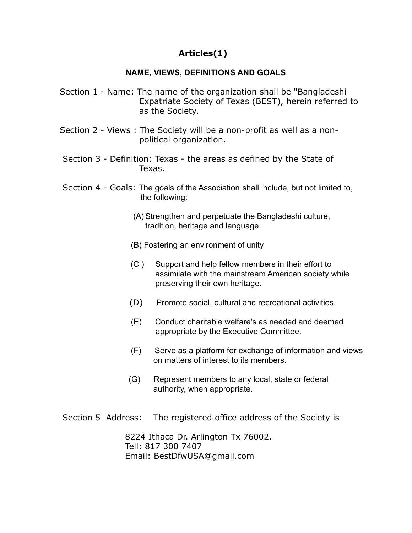### **Articles(1)**

### **NAME, VIEWS, DEFINITIONS AND GOALS**

- Section 1 Name: The name of the organization shall be "Bangladeshi Expatriate Society of Texas (BEST), herein referred to as the Society.
- Section 2 Views : The Society will be a non-profit as well as a nonpolitical organization.
- Section 3 Definition: Texas the areas as defined by the State of Texas.
- Section 4 Goals: The goals of the Association shall include, but not limited to, the following:
	- (A) Strengthen and perpetuate the Bangladeshi culture, tradition, heritage and language.
	- (B) Fostering an environment of unity
	- (C ) Support and help fellow members in their effort to assimilate with the mainstream American society while preserving their own heritage.
	- (D) Promote social, cultural and recreational activities.
	- (E) Conduct charitable welfare's as needed and deemed appropriate by the Executive Committee.
	- (F) Serve as a platform for exchange of information and views on matters of interest to its members.
	- (G) Represent members to any local, state or federal authority, when appropriate.
- Section 5 Address: The registered office address of the Society is

8224 Ithaca Dr. Arlington Tx 76002. Tell: 817 300 7407 Email: BestDfwUSA@gmail.com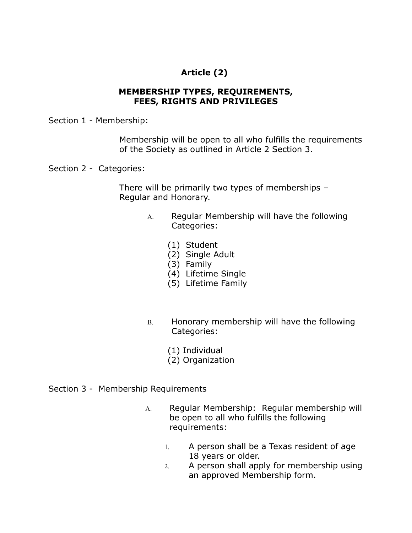## **Article (2)**

#### **MEMBERSHIP TYPES, REQUIREMENTS, FEES, RIGHTS AND PRIVILEGES**

Section 1 - Membership:

 Membership will be open to all who fulfills the requirements of the Society as outlined in Article 2 Section 3.

Section 2 - Categories:

 There will be primarily two types of memberships – Regular and Honorary.

- A. Regular Membership will have the following Categories:
	- (1) Student
	- (2) Single Adult
	- (3) Family
	- (4) Lifetime Single
	- (5) Lifetime Family
- B. Honorary membership will have the following Categories:
	- (1) Individual
	- (2) Organization

#### Section 3 - Membership Requirements

- A. Regular Membership: Regular membership will be open to all who fulfills the following requirements:
	- 1. A person shall be a Texas resident of age 18 years or older.
	- 2. A person shall apply for membership using an approved Membership form.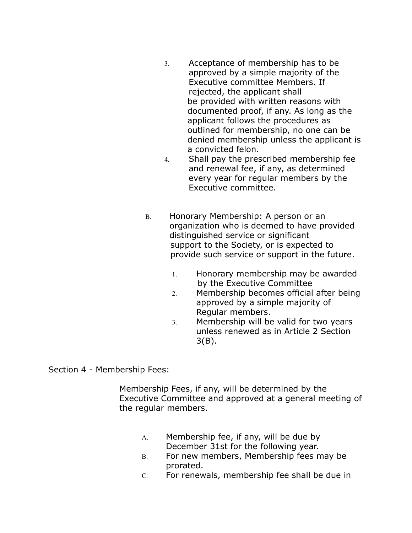- 3. Acceptance of membership has to be approved by a simple majority of the Executive committee Members. If rejected, the applicant shall be provided with written reasons with documented proof, if any. As long as the applicant follows the procedures as outlined for membership, no one can be denied membership unless the applicant is a convicted felon.
- 4. Shall pay the prescribed membership fee and renewal fee, if any, as determined every year for regular members by the Executive committee.
- B. Honorary Membership: A person or an organization who is deemed to have provided distinguished service or significant support to the Society, or is expected to provide such service or support in the future.
	- 1. Honorary membership may be awarded by the Executive Committee
	- 2. Membership becomes official after being approved by a simple majority of Regular members.
	- 3. Membership will be valid for two years unless renewed as in Article 2 Section 3(B).

Section 4 - Membership Fees:

Membership Fees, if any, will be determined by the Executive Committee and approved at a general meeting of the regular members.

- A. Membership fee, if any, will be due by December 31st for the following year.
- B. For new members, Membership fees may be prorated.
- C. For renewals, membership fee shall be due in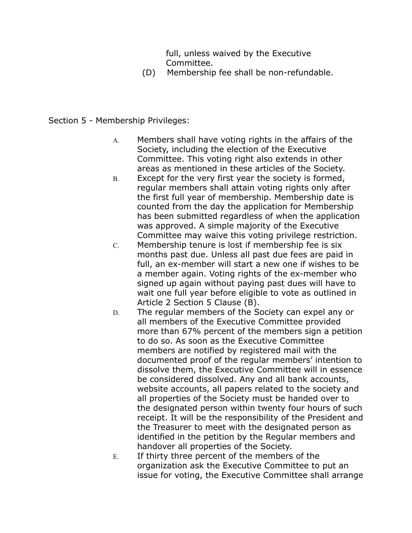full, unless waived by the Executive Committee.

(D) Membership fee shall be non-refundable.

#### Section 5 - Membership Privileges:

- A. Members shall have voting rights in the affairs of the Society, including the election of the Executive Committee. This voting right also extends in other areas as mentioned in these articles of the Society.
- B. Except for the very first year the society is formed, regular members shall attain voting rights only after the first full year of membership. Membership date is counted from the day the application for Membership has been submitted regardless of when the application was approved. A simple majority of the Executive Committee may waive this voting privilege restriction.
- C. Membership tenure is lost if membership fee is six months past due. Unless all past due fees are paid in full, an ex-member will start a new one if wishes to be a member again. Voting rights of the ex-member who signed up again without paying past dues will have to wait one full year before eligible to vote as outlined in Article 2 Section 5 Clause (B).
- D. The regular members of the Society can expel any or all members of the Executive Committee provided more than 67% percent of the members sign a petition to do so. As soon as the Executive Committee members are notified by registered mail with the documented proof of the regular members' intention to dissolve them, the Executive Committee will in essence be considered dissolved. Any and all bank accounts, website accounts, all papers related to the society and all properties of the Society must be handed over to the designated person within twenty four hours of such receipt. It will be the responsibility of the President and the Treasurer to meet with the designated person as identified in the petition by the Regular members and handover all properties of the Society.
- E. If thirty three percent of the members of the organization ask the Executive Committee to put an issue for voting, the Executive Committee shall arrange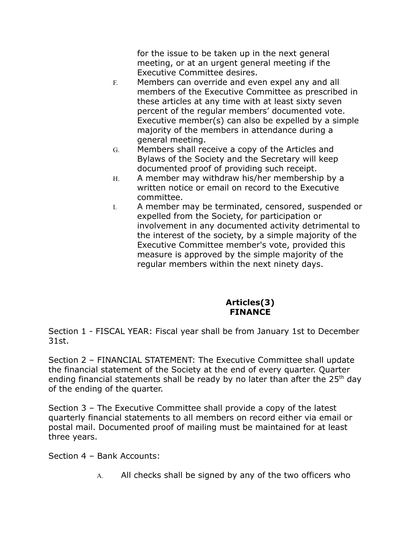for the issue to be taken up in the next general meeting, or at an urgent general meeting if the Executive Committee desires.

- F. Members can override and even expel any and all members of the Executive Committee as prescribed in these articles at any time with at least sixty seven percent of the regular members' documented vote. Executive member(s) can also be expelled by a simple majority of the members in attendance during a general meeting.
- G. Members shall receive a copy of the Articles and Bylaws of the Society and the Secretary will keep documented proof of providing such receipt.
- H. A member may withdraw his/her membership by a written notice or email on record to the Executive committee.
- I. A member may be terminated, censored, suspended or expelled from the Society, for participation or involvement in any documented activity detrimental to the interest of the society, by a simple majority of the Executive Committee member's vote, provided this measure is approved by the simple majority of the regular members within the next ninety days.

### **Articles(3) FINANCE**

Section 1 - FISCAL YEAR: Fiscal year shall be from January 1st to December 31st.

Section 2 – FINANCIAL STATEMENT: The Executive Committee shall update the financial statement of the Society at the end of every quarter. Quarter ending financial statements shall be ready by no later than after the  $25<sup>th</sup>$  day of the ending of the quarter.

Section 3 – The Executive Committee shall provide a copy of the latest quarterly financial statements to all members on record either via email or postal mail. Documented proof of mailing must be maintained for at least three years.

Section 4 – Bank Accounts:

A. All checks shall be signed by any of the two officers who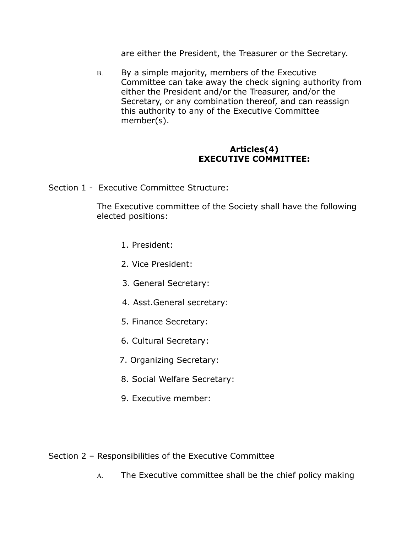are either the President, the Treasurer or the Secretary.

B. By a simple majority, members of the Executive Committee can take away the check signing authority from either the President and/or the Treasurer, and/or the Secretary, or any combination thereof, and can reassign this authority to any of the Executive Committee member(s).

#### **Articles(4) EXECUTIVE COMMITTEE:**

Section 1 - Executive Committee Structure:

The Executive committee of the Society shall have the following elected positions:

- 1. President:
- 2. Vice President:
- 3. General Secretary:
- 4. Asst.General secretary:
- 5. Finance Secretary:
- 6. Cultural Secretary:
- 7. Organizing Secretary:
- 8. Social Welfare Secretary:
- 9. Executive member:

Section 2 – Responsibilities of the Executive Committee

A. The Executive committee shall be the chief policy making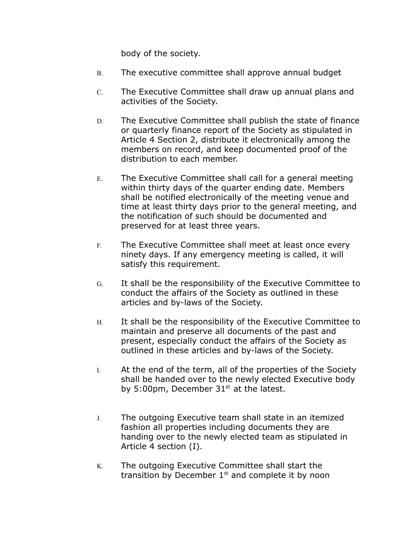body of the society.

- B. The executive committee shall approve annual budget
- C. The Executive Committee shall draw up annual plans and activities of the Society.
- D. The Executive Committee shall publish the state of finance or quarterly finance report of the Society as stipulated in Article 4 Section 2, distribute it electronically among the members on record, and keep documented proof of the distribution to each member.
- E. The Executive Committee shall call for a general meeting within thirty days of the quarter ending date. Members shall be notified electronically of the meeting venue and time at least thirty days prior to the general meeting, and the notification of such should be documented and preserved for at least three years.
- F. The Executive Committee shall meet at least once every ninety days. If any emergency meeting is called, it will satisfy this requirement.
- G. It shall be the responsibility of the Executive Committee to conduct the affairs of the Society as outlined in these articles and by-laws of the Society.
- H. It shall be the responsibility of the Executive Committee to maintain and preserve all documents of the past and present, especially conduct the affairs of the Society as outlined in these articles and by-laws of the Society.
- I. At the end of the term, all of the properties of the Society shall be handed over to the newly elected Executive body by 5:00pm, December  $31<sup>st</sup>$  at the latest.
- J. The outgoing Executive team shall state in an itemized fashion all properties including documents they are handing over to the newly elected team as stipulated in Article 4 section (I).
- K. The outgoing Executive Committee shall start the transition by December  $1<sup>st</sup>$  and complete it by noon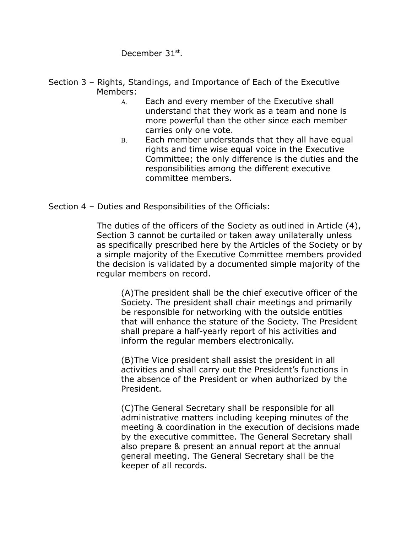December 31<sup>st</sup>.

- Section 3 Rights, Standings, and Importance of Each of the Executive Members:
	- A. Each and every member of the Executive shall understand that they work as a team and none is more powerful than the other since each member carries only one vote.
	- B. Each member understands that they all have equal rights and time wise equal voice in the Executive Committee; the only difference is the duties and the responsibilities among the different executive committee members.
- Section 4 Duties and Responsibilities of the Officials:

The duties of the officers of the Society as outlined in Article (4), Section 3 cannot be curtailed or taken away unilaterally unless as specifically prescribed here by the Articles of the Society or by a simple majority of the Executive Committee members provided the decision is validated by a documented simple majority of the regular members on record.

(A)The president shall be the chief executive officer of the Society. The president shall chair meetings and primarily be responsible for networking with the outside entities that will enhance the stature of the Society. The President shall prepare a half-yearly report of his activities and inform the regular members electronically.

(B)The Vice president shall assist the president in all activities and shall carry out the President's functions in the absence of the President or when authorized by the President.

(C)The General Secretary shall be responsible for all administrative matters including keeping minutes of the meeting & coordination in the execution of decisions made by the executive committee. The General Secretary shall also prepare & present an annual report at the annual general meeting. The General Secretary shall be the keeper of all records.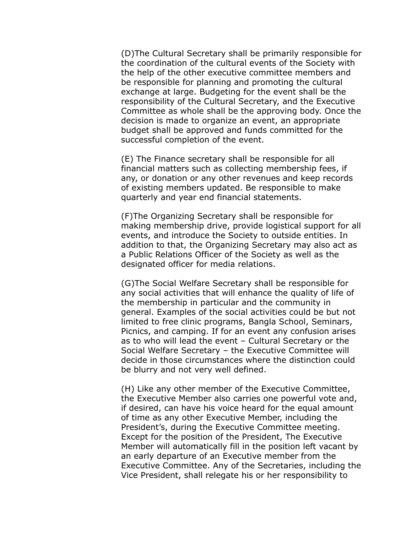(D)The Cultural Secretary shall be primarily responsible for the coordination of the cultural events of the Society with the help of the other executive committee members and be responsible for planning and promoting the cultural exchange at large. Budgeting for the event shall be the responsibility of the Cultural Secretary, and the Executive Committee as whole shall be the approving body. Once the decision is made to organize an event, an appropriate budget shall be approved and funds committed for the successful completion of the event.

(E) The Finance secretary shall be responsible for all financial matters such as collecting membership fees, if any, or donation or any other revenues and keep records of existing members updated. Be responsible to make quarterly and year end financial statements.

(F)The Organizing Secretary shall be responsible for making membership drive, provide logistical support for all events, and introduce the Society to outside entities. In addition to that, the Organizing Secretary may also act as a Public Relations Officer of the Society as well as the designated officer for media relations.

(G)The Social Welfare Secretary shall be responsible for any social activities that will enhance the quality of life of the membership in particular and the community in general. Examples of the social activities could be but not limited to free clinic programs, Bangla School, Seminars, Picnics, and camping. If for an event any confusion arises as to who will lead the event – Cultural Secretary or the Social Welfare Secretary – the Executive Committee will decide in those circumstances where the distinction could be blurry and not very well defined.

(H) Like any other member of the Executive Committee, the Executive Member also carries one powerful vote and, if desired, can have his voice heard for the equal amount of time as any other Executive Member, including the President's, during the Executive Committee meeting. Except for the position of the President, The Executive Member will automatically fill in the position left vacant by an early departure of an Executive member from the Executive Committee. Any of the Secretaries, including the Vice President, shall relegate his or her responsibility to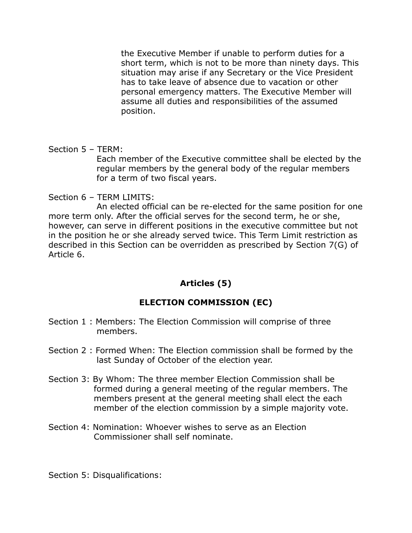the Executive Member if unable to perform duties for a short term, which is not to be more than ninety days. This situation may arise if any Secretary or the Vice President has to take leave of absence due to vacation or other personal emergency matters. The Executive Member will assume all duties and responsibilities of the assumed position.

Section 5 – TERM:

Each member of the Executive committee shall be elected by the regular members by the general body of the regular members for a term of two fiscal years.

Section 6 – TERM LIMITS:

An elected official can be re-elected for the same position for one more term only. After the official serves for the second term, he or she, however, can serve in different positions in the executive committee but not in the position he or she already served twice. This Term Limit restriction as described in this Section can be overridden as prescribed by Section 7(G) of Article 6.

### **Articles (5)**

### **ELECTION COMMISSION (EC)**

- Section 1 : Members: The Election Commission will comprise of three members.
- Section 2 : Formed When: The Election commission shall be formed by the last Sunday of October of the election year.
- Section 3: By Whom: The three member Election Commission shall be formed during a general meeting of the regular members. The members present at the general meeting shall elect the each member of the election commission by a simple majority vote.
- Section 4: Nomination: Whoever wishes to serve as an Election Commissioner shall self nominate.

Section 5: Disqualifications: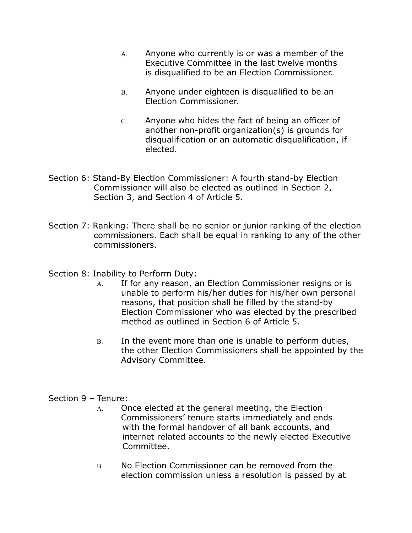- A. Anyone who currently is or was a member of the Executive Committee in the last twelve months is disqualified to be an Election Commissioner.
- B. Anyone under eighteen is disqualified to be an Election Commissioner.
- C. Anyone who hides the fact of being an officer of another non-profit organization(s) is grounds for disqualification or an automatic disqualification, if elected.
- Section 6: Stand-By Election Commissioner: A fourth stand-by Election Commissioner will also be elected as outlined in Section 2, Section 3, and Section 4 of Article 5.
- Section 7: Ranking: There shall be no senior or junior ranking of the election commissioners. Each shall be equal in ranking to any of the other commissioners.

### Section 8: Inability to Perform Duty:

- A. If for any reason, an Election Commissioner resigns or is unable to perform his/her duties for his/her own personal reasons, that position shall be filled by the stand-by Election Commissioner who was elected by the prescribed method as outlined in Section 6 of Article 5.
- B. In the event more than one is unable to perform duties, the other Election Commissioners shall be appointed by the Advisory Committee.

#### Section 9 – Tenure:

- A. Once elected at the general meeting, the Election Commissioners' tenure starts immediately and ends with the formal handover of all bank accounts, and internet related accounts to the newly elected Executive Committee.
- B. No Election Commissioner can be removed from the election commission unless a resolution is passed by at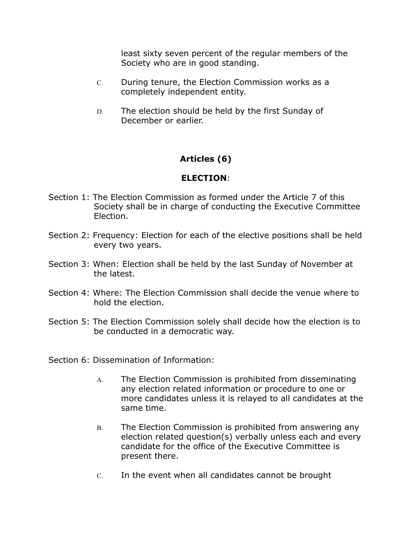least sixty seven percent of the regular members of the Society who are in good standing.

- C. During tenure, the Election Commission works as a completely independent entity.
- D. The election should be held by the first Sunday of December or earlier.

### **Articles (6)**

### **ELECTION**:

- Section 1: The Election Commission as formed under the Article 7 of this Society shall be in charge of conducting the Executive Committee Election.
- Section 2: Frequency: Election for each of the elective positions shall be held every two years.
- Section 3: When: Election shall be held by the last Sunday of November at the latest.
- Section 4: Where: The Election Commission shall decide the venue where to hold the election.
- Section 5: The Election Commission solely shall decide how the election is to be conducted in a democratic way.
- Section 6: Dissemination of Information:
	- A. The Election Commission is prohibited from disseminating any election related information or procedure to one or more candidates unless it is relayed to all candidates at the same time.
	- B. The Election Commission is prohibited from answering any election related question(s) verbally unless each and every candidate for the office of the Executive Committee is present there.
	- C. In the event when all candidates cannot be brought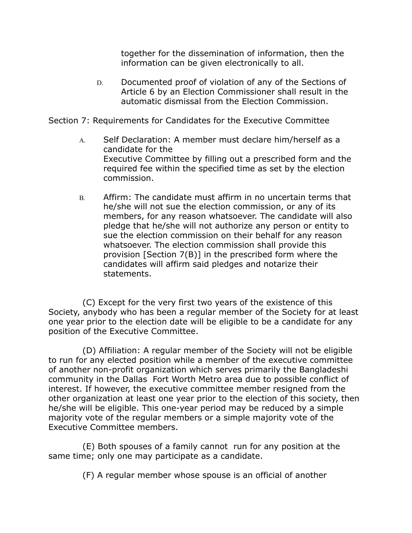together for the dissemination of information, then the information can be given electronically to all.

D. Documented proof of violation of any of the Sections of Article 6 by an Election Commissioner shall result in the automatic dismissal from the Election Commission.

Section 7: Requirements for Candidates for the Executive Committee

- A. Self Declaration: A member must declare him/herself as a candidate for the Executive Committee by filling out a prescribed form and the required fee within the specified time as set by the election commission.
- B. Affirm: The candidate must affirm in no uncertain terms that he/she will not sue the election commission, or any of its members, for any reason whatsoever. The candidate will also pledge that he/she will not authorize any person or entity to sue the election commission on their behalf for any reason whatsoever. The election commission shall provide this provision [Section 7(B)] in the prescribed form where the candidates will affirm said pledges and notarize their statements.

 (C) Except for the very first two years of the existence of this Society, anybody who has been a regular member of the Society for at least one year prior to the election date will be eligible to be a candidate for any position of the Executive Committee.

 (D) Affiliation: A regular member of the Society will not be eligible to run for any elected position while a member of the executive committee of another non-profit organization which serves primarily the Bangladeshi community in the Dallas Fort Worth Metro area due to possible conflict of interest. If however, the executive committee member resigned from the other organization at least one year prior to the election of this society, then he/she will be eligible. This one-year period may be reduced by a simple majority vote of the regular members or a simple majority vote of the Executive Committee members.

 (E) Both spouses of a family cannot run for any position at the same time; only one may participate as a candidate.

(F) A regular member whose spouse is an official of another